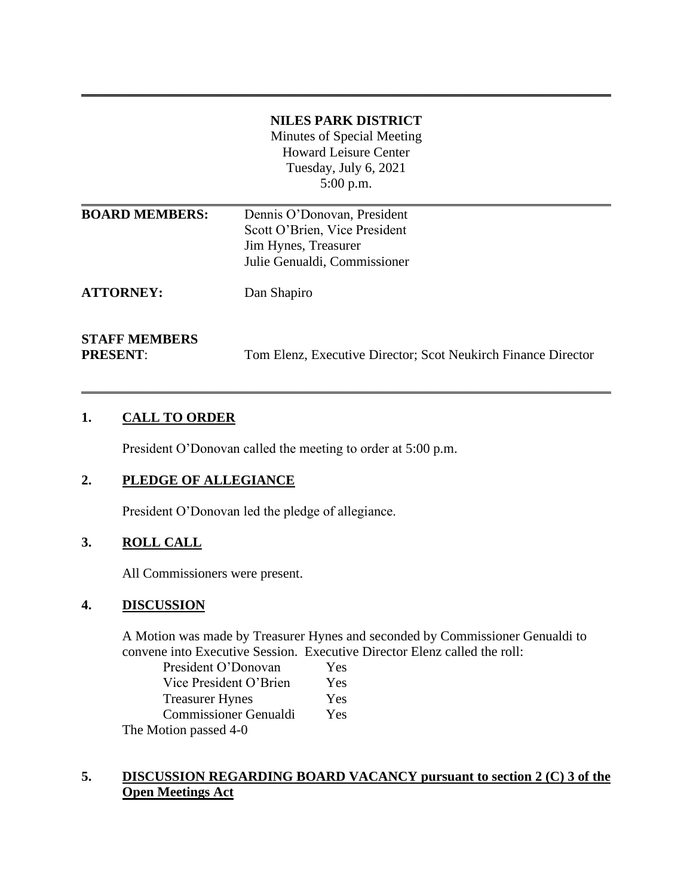## **NILES PARK DISTRICT**  Minutes of Special Meeting Howard Leisure Center Tuesday, July 6, 2021 5:00 p.m.

**\_\_\_\_\_\_\_\_\_\_\_\_\_\_\_\_\_\_\_\_\_\_\_\_\_\_\_\_\_\_\_\_\_\_\_\_\_\_\_\_\_\_\_\_\_\_\_\_\_\_\_\_\_\_\_\_\_\_\_\_\_\_\_\_\_\_\_\_\_\_\_\_\_\_\_\_\_\_**

| <b>BOARD MEMBERS:</b> | Dennis O'Donovan, President                                   |
|-----------------------|---------------------------------------------------------------|
|                       | Scott O'Brien, Vice President                                 |
|                       | Jim Hynes, Treasurer                                          |
|                       | Julie Genualdi, Commissioner                                  |
| <b>ATTORNEY:</b>      | Dan Shapiro                                                   |
| <b>STAFF MEMBERS</b>  |                                                               |
| <b>PRESENT:</b>       | Tom Elenz, Executive Director; Scot Neukirch Finance Director |

\_\_\_\_\_\_\_\_\_\_\_\_\_\_\_\_\_\_\_\_\_\_\_\_\_\_\_\_\_\_\_\_\_\_\_\_\_\_\_\_\_\_\_\_\_\_\_\_\_\_\_\_\_\_\_\_\_\_\_\_\_\_\_\_\_\_\_\_\_\_\_\_\_\_\_\_\_\_

## **1. CALL TO ORDER**

President O'Donovan called the meeting to order at 5:00 p.m.

## **2. PLEDGE OF ALLEGIANCE**

President O'Donovan led the pledge of allegiance.

# **3. ROLL CALL**

All Commissioners were present.

#### **4. DISCUSSION**

A Motion was made by Treasurer Hynes and seconded by Commissioner Genualdi to convene into Executive Session. Executive Director Elenz called the roll:

| President O'Donovan          | Yes |
|------------------------------|-----|
| Vice President O'Brien       | Yes |
| <b>Treasurer Hynes</b>       | Yes |
| <b>Commissioner Genualdi</b> | Yes |
| The Motion passed 4-0        |     |

### **5. DISCUSSION REGARDING BOARD VACANCY pursuant to section 2 (C) 3 of the Open Meetings Act**